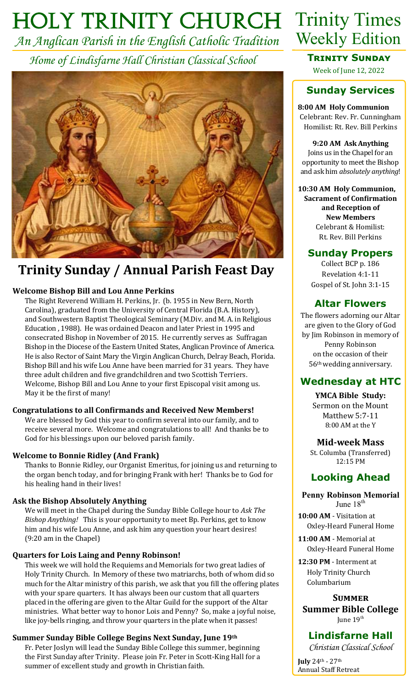# *Holy Trinity Church* Trinity Times

*An Anglican Parish in the English Catholic Tradition Home of Lindisfarne Hall Christian Classical School*



# **Trinity Sunday / Annual Parish Feast Day**

## **Welcome Bishop Bill and Lou Anne Perkins**

The Right Reverend William H. Perkins, Jr. (b. 1955 in New Bern, North Carolina), graduated from the University of Central Florida (B.A. History), and Southwestern Baptist Theological Seminary (M.Div. and M. A. in Religious Education , 1988). He was ordained Deacon and later Priest in 1995 and consecrated Bishop in November of 2015. He currently serves as Suffragan Bishop in the Diocese of the Eastern United States, Anglican Province of America. He is also Rector of Saint Mary the Virgin Anglican Church, Delray Beach, Florida. Bishop Bill and his wife Lou Anne have been married for 31 years. They have three adult children and five grandchildren and two Scottish Terriers. Welcome, Bishop Bill and Lou Anne to your first Episcopal visit among us. May it be the first of many!

### **Congratulations to all Confirmands and Received New Members!**

We are blessed by God this year to confirm several into our family, and to receive several more. Welcome and congratulations to all! And thanks be to God for his blessings upon our beloved parish family.

### **Welcome to Bonnie Ridley (And Frank)**

Thanks to Bonnie Ridley, our Organist Emeritus, for joining us and returning to the organ bench today, and for bringing Frank with her! Thanks be to God for his healing hand in their lives!

### **Ask the Bishop Absolutely Anything**

We will meet in the Chapel during the Sunday Bible College hour to *Ask The Bishop Anything!* This is your opportunity to meet Bp. Perkins, get to know him and his wife Lou Anne, and ask him any question your heart desires! (9:20 am in the Chapel)

## **Quarters for Lois Laing and Penny Robinson!**

This week we will hold the Requiems and Memorials for two great ladies of Holy Trinity Church. In Memory of these two matriarchs, both of whom did so much for the Altar ministry of this parish, we ask that you fill the offering plates with your spare quarters. It has always been our custom that all quarters placed in the offering are given to the Altar Guild for the support of the Altar ministries. What better way to honor Lois and Penny? So, make a joyful noise, like joy-bells ringing, and throw your quarters in the plate when it passes!

## **Summer Sunday Bible College Begins Next Sunday, June 19th**

Fr. Peter Joslyn will lead the Sunday Bible College this summer, beginning the First Sunday after Trinity. Please join Fr. Peter in Scott-King Hall for a summer of excellent study and growth in Christian faith.



## **Trinity Sunday**  Week of June 12, 2022

# **Sunday Services**

#### **8:00 AM Holy Communion** Celebrant: Rev. Fr. Cunningham Homilist: Rt. Rev. Bill Perkins

**9:20 AM Ask Anything** Joins us in the Chapel for an opportunity to meet the Bishop and ask him *absolutely anything*!

**10:30 AM Holy Communion, Sacrament of Confirmation and Reception of New Members** Celebrant & Homilist: Rt. Rev. Bill Perkins

## **Sunday Propers**

Collect BCP p. 186 Revelation 4:1-11 Gospel of St. John 3:1-15

## **Altar Flowers**

The flowers adorning our Altar are given to the Glory of God by Jim Robinson in memory of Penny Robinson on the occasion of their 56th wedding anniversary.

## **Wednesday at HTC**

**YMCA Bible Study:** Sermon on the Mount Matthew 5:7-11 8:00 AM at the Y

### **Mid-week Mass**

St. Columba (Transferred) 12:15 PM

## **Looking Ahead**

#### **Penny Robinson Memorial** June 18<sup>th</sup>

**10:00 AM** - Visitation at Oxley-Heard Funeral Home

**11:00 AM** - Memorial at Oxley-Heard Funeral Home

**12:30 PM** - Interment at Holy Trinity Church Columbarium

### **Summer**

**Summer Bible College** June 19<sup>th</sup>

## **Lindisfarne Hall**

*Christian Classical School*

**July** 24th - 27th Annual Staff Retreat